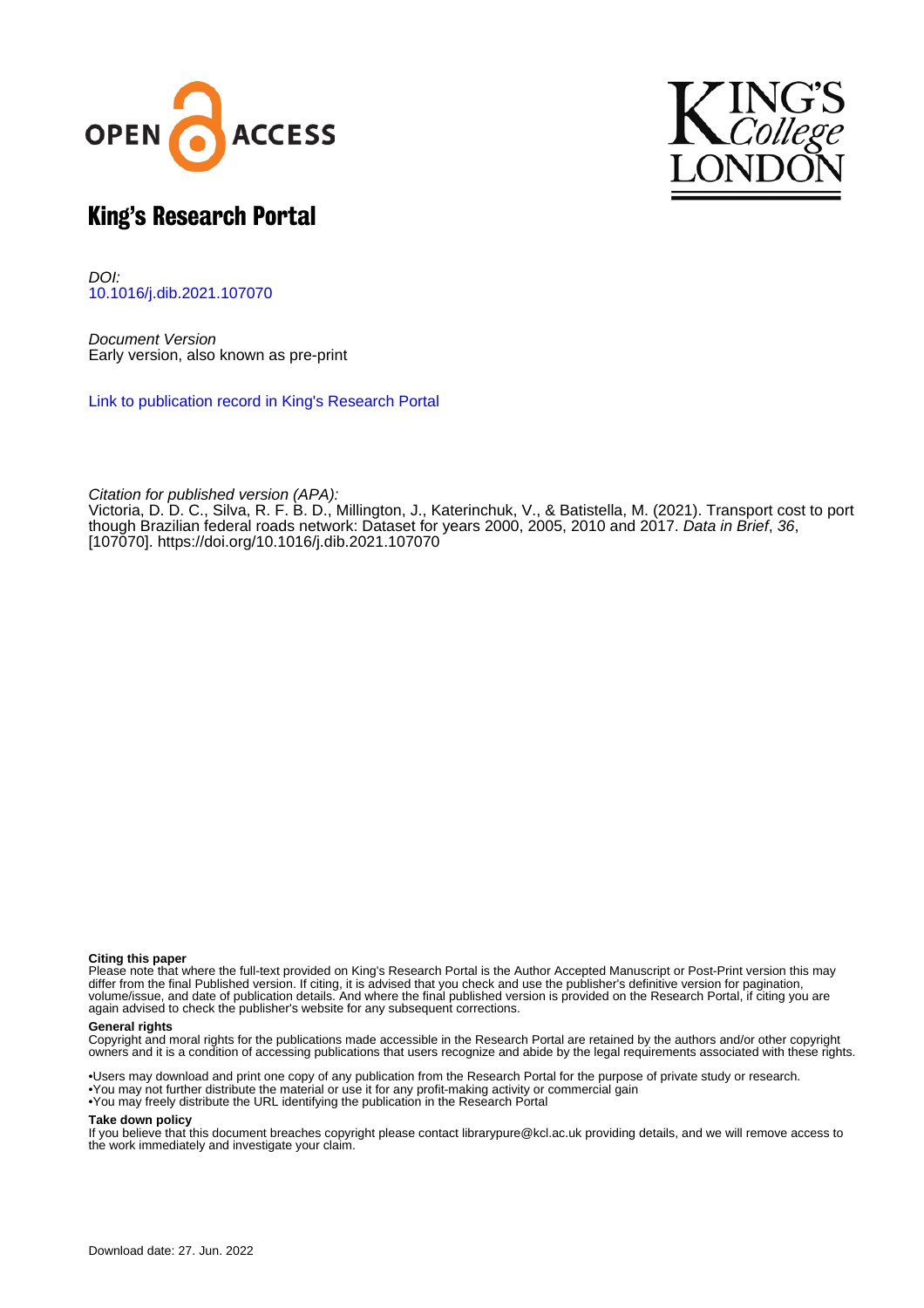



# King's Research Portal

DOI: [10.1016/j.dib.2021.107070](https://doi.org/10.1016/j.dib.2021.107070)

Document Version Early version, also known as pre-print

[Link to publication record in King's Research Portal](https://kclpure.kcl.ac.uk/portal/en/publications/transport-cost-to-port-though-brazilian-federal-roads-network(65fccd26-0750-4c0d-9708-4f846a0ec0e4).html)

Citation for published version (APA):

Victoria, D. D. C., Silva, R. F. B. D.[, Millington, J.](https://kclpure.kcl.ac.uk/portal/en/persons/james-millington(b79076e0-ec0f-4c5e-acd6-83bea48700d0).html)[, Katerinchuk, V.](https://kclpure.kcl.ac.uk/portal/en/persons/valeri-katerinchuk(3531e1d4-2928-4436-8d61-b59f55c977a1).html), & Batistella, M. (2021). [Transport cost to port](https://kclpure.kcl.ac.uk/portal/en/publications/transport-cost-to-port-though-brazilian-federal-roads-network(65fccd26-0750-4c0d-9708-4f846a0ec0e4).html) [though Brazilian federal roads network: Dataset for years 2000, 2005, 2010 and 2017](https://kclpure.kcl.ac.uk/portal/en/publications/transport-cost-to-port-though-brazilian-federal-roads-network(65fccd26-0750-4c0d-9708-4f846a0ec0e4).html). *[Data in Brief](https://kclpure.kcl.ac.uk/portal/en/journals/data-in-brief(aa57b5c4-9816-4b69-83d6-1669fa8c2ece).html), 36*, [107070].<https://doi.org/10.1016/j.dib.2021.107070>

### **Citing this paper**

Please note that where the full-text provided on King's Research Portal is the Author Accepted Manuscript or Post-Print version this may differ from the final Published version. If citing, it is advised that you check and use the publisher's definitive version for pagination, volume/issue, and date of publication details. And where the final published version is provided on the Research Portal, if citing you are again advised to check the publisher's website for any subsequent corrections.

### **General rights**

Copyright and moral rights for the publications made accessible in the Research Portal are retained by the authors and/or other copyright owners and it is a condition of accessing publications that users recognize and abide by the legal requirements associated with these rights.

•Users may download and print one copy of any publication from the Research Portal for the purpose of private study or research. •You may not further distribute the material or use it for any profit-making activity or commercial gain •You may freely distribute the URL identifying the publication in the Research Portal

#### **Take down policy**

If you believe that this document breaches copyright please contact librarypure@kcl.ac.uk providing details, and we will remove access to the work immediately and investigate your claim.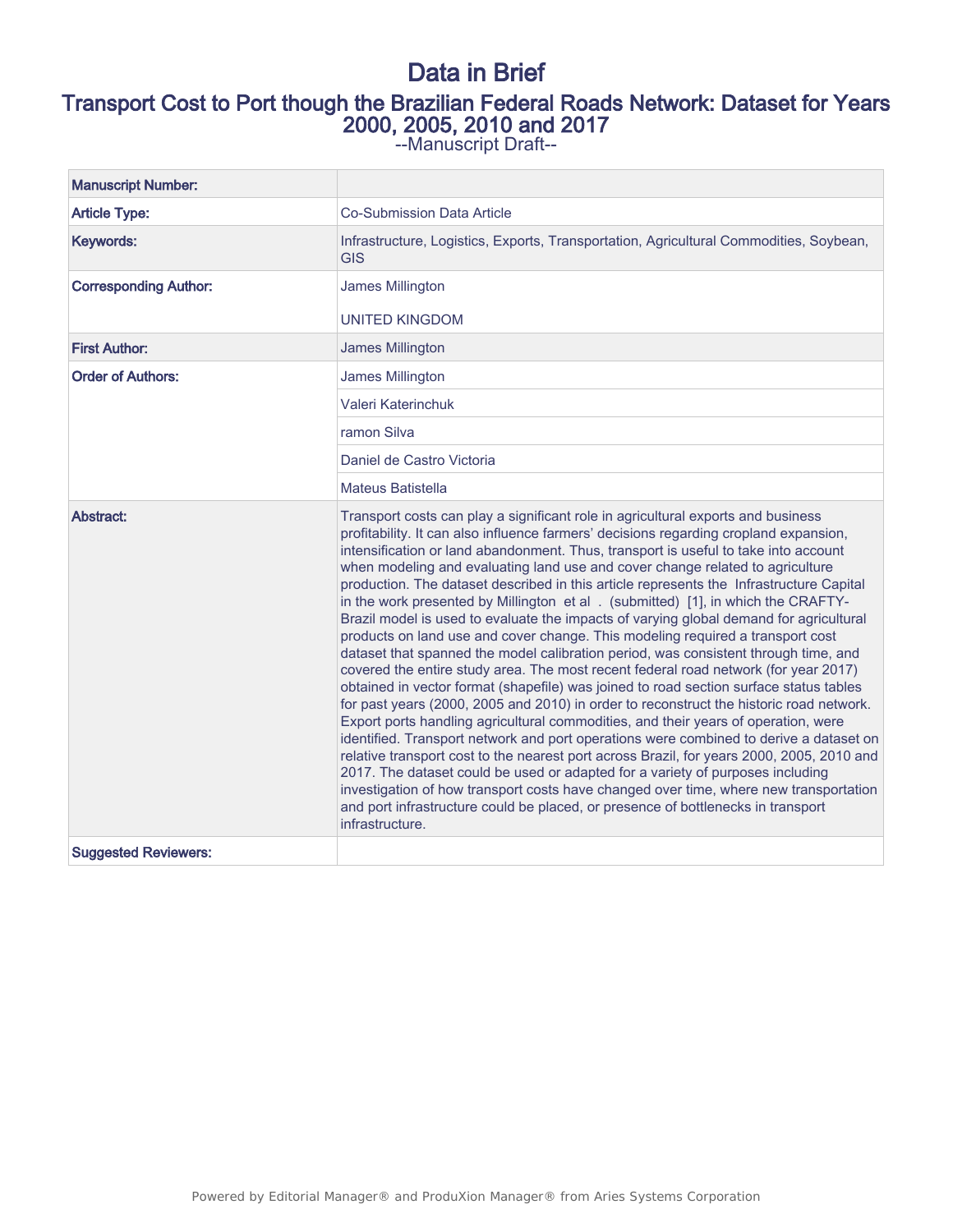# Data in Brief Transport Cost to Port though the Brazilian Federal Roads Network: Dataset for Years 2000, 2005, 2010 and 2017

--Manuscript Draft--

| <b>Manuscript Number:</b>    |                                                                                                                                                                                                                                                                                                                                                                                                                                                                                                                                                                                                                                                                                                                                                                                                                                                                                                                                                                                                                                                                                                                                                                                                                                                                                                                                                                                                                                                                                                                                                                                                                                                 |
|------------------------------|-------------------------------------------------------------------------------------------------------------------------------------------------------------------------------------------------------------------------------------------------------------------------------------------------------------------------------------------------------------------------------------------------------------------------------------------------------------------------------------------------------------------------------------------------------------------------------------------------------------------------------------------------------------------------------------------------------------------------------------------------------------------------------------------------------------------------------------------------------------------------------------------------------------------------------------------------------------------------------------------------------------------------------------------------------------------------------------------------------------------------------------------------------------------------------------------------------------------------------------------------------------------------------------------------------------------------------------------------------------------------------------------------------------------------------------------------------------------------------------------------------------------------------------------------------------------------------------------------------------------------------------------------|
| <b>Article Type:</b>         | <b>Co-Submission Data Article</b>                                                                                                                                                                                                                                                                                                                                                                                                                                                                                                                                                                                                                                                                                                                                                                                                                                                                                                                                                                                                                                                                                                                                                                                                                                                                                                                                                                                                                                                                                                                                                                                                               |
| Keywords:                    | Infrastructure, Logistics, Exports, Transportation, Agricultural Commodities, Soybean,<br><b>GIS</b>                                                                                                                                                                                                                                                                                                                                                                                                                                                                                                                                                                                                                                                                                                                                                                                                                                                                                                                                                                                                                                                                                                                                                                                                                                                                                                                                                                                                                                                                                                                                            |
| <b>Corresponding Author:</b> | James Millington<br><b>UNITED KINGDOM</b>                                                                                                                                                                                                                                                                                                                                                                                                                                                                                                                                                                                                                                                                                                                                                                                                                                                                                                                                                                                                                                                                                                                                                                                                                                                                                                                                                                                                                                                                                                                                                                                                       |
| <b>First Author:</b>         | James Millington                                                                                                                                                                                                                                                                                                                                                                                                                                                                                                                                                                                                                                                                                                                                                                                                                                                                                                                                                                                                                                                                                                                                                                                                                                                                                                                                                                                                                                                                                                                                                                                                                                |
| <b>Order of Authors:</b>     | James Millington                                                                                                                                                                                                                                                                                                                                                                                                                                                                                                                                                                                                                                                                                                                                                                                                                                                                                                                                                                                                                                                                                                                                                                                                                                                                                                                                                                                                                                                                                                                                                                                                                                |
|                              | Valeri Katerinchuk                                                                                                                                                                                                                                                                                                                                                                                                                                                                                                                                                                                                                                                                                                                                                                                                                                                                                                                                                                                                                                                                                                                                                                                                                                                                                                                                                                                                                                                                                                                                                                                                                              |
|                              | ramon Silva                                                                                                                                                                                                                                                                                                                                                                                                                                                                                                                                                                                                                                                                                                                                                                                                                                                                                                                                                                                                                                                                                                                                                                                                                                                                                                                                                                                                                                                                                                                                                                                                                                     |
|                              | Daniel de Castro Victoria                                                                                                                                                                                                                                                                                                                                                                                                                                                                                                                                                                                                                                                                                                                                                                                                                                                                                                                                                                                                                                                                                                                                                                                                                                                                                                                                                                                                                                                                                                                                                                                                                       |
|                              | <b>Mateus Batistella</b>                                                                                                                                                                                                                                                                                                                                                                                                                                                                                                                                                                                                                                                                                                                                                                                                                                                                                                                                                                                                                                                                                                                                                                                                                                                                                                                                                                                                                                                                                                                                                                                                                        |
| Abstract:                    | Transport costs can play a significant role in agricultural exports and business<br>profitability. It can also influence farmers' decisions regarding cropland expansion,<br>intensification or land abandonment. Thus, transport is useful to take into account<br>when modeling and evaluating land use and cover change related to agriculture<br>production. The dataset described in this article represents the Infrastructure Capital<br>in the work presented by Millington et al . (submitted) [1], in which the CRAFTY-<br>Brazil model is used to evaluate the impacts of varying global demand for agricultural<br>products on land use and cover change. This modeling required a transport cost<br>dataset that spanned the model calibration period, was consistent through time, and<br>covered the entire study area. The most recent federal road network (for year 2017)<br>obtained in vector format (shapefile) was joined to road section surface status tables<br>for past years (2000, 2005 and 2010) in order to reconstruct the historic road network.<br>Export ports handling agricultural commodities, and their years of operation, were<br>identified. Transport network and port operations were combined to derive a dataset on<br>relative transport cost to the nearest port across Brazil, for years 2000, 2005, 2010 and<br>2017. The dataset could be used or adapted for a variety of purposes including<br>investigation of how transport costs have changed over time, where new transportation<br>and port infrastructure could be placed, or presence of bottlenecks in transport<br>infrastructure. |
| <b>Suggested Reviewers:</b>  |                                                                                                                                                                                                                                                                                                                                                                                                                                                                                                                                                                                                                                                                                                                                                                                                                                                                                                                                                                                                                                                                                                                                                                                                                                                                                                                                                                                                                                                                                                                                                                                                                                                 |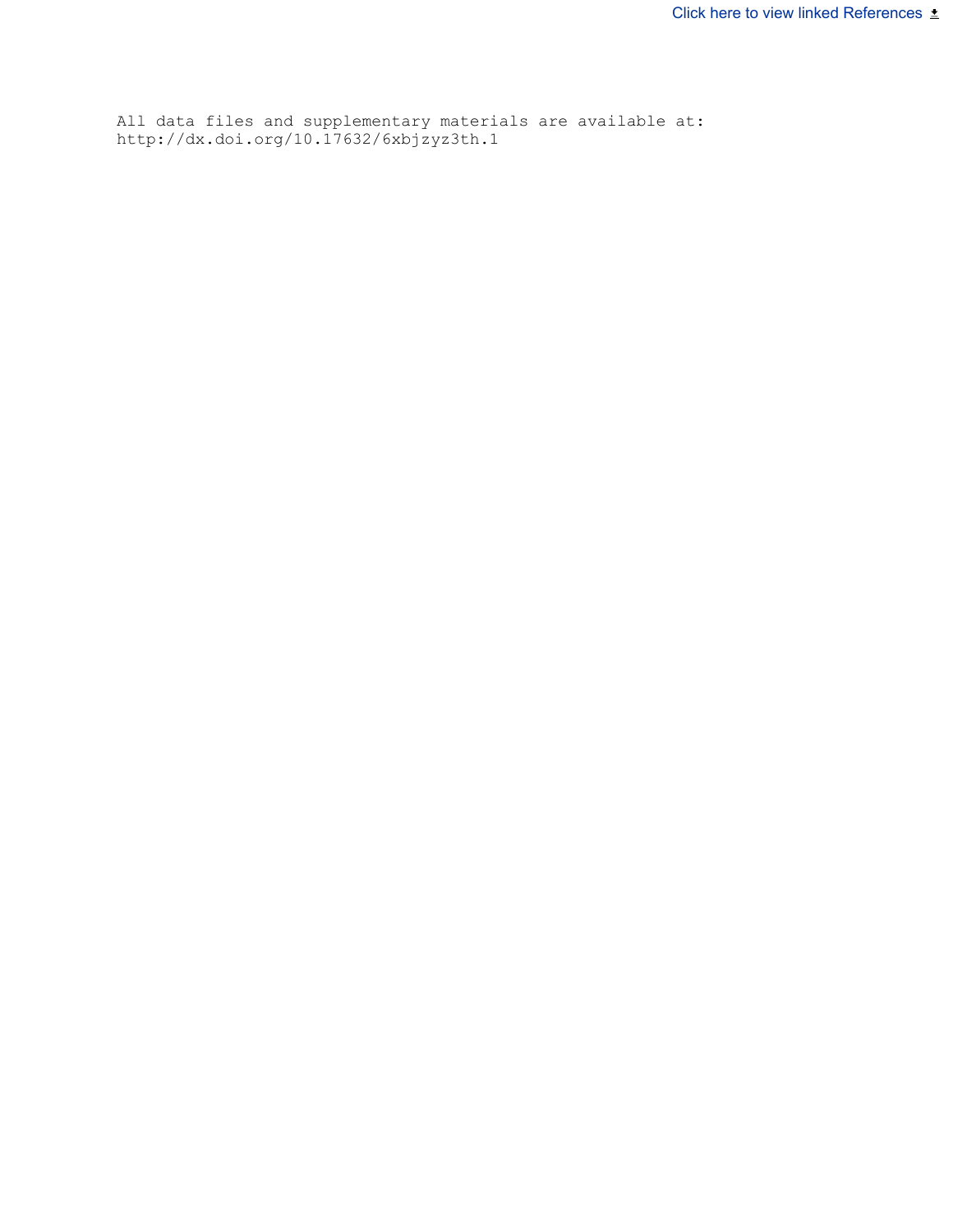All data files and supplementary materials are available at: http://dx.doi.org/10.17632/6xbjzyz3th.1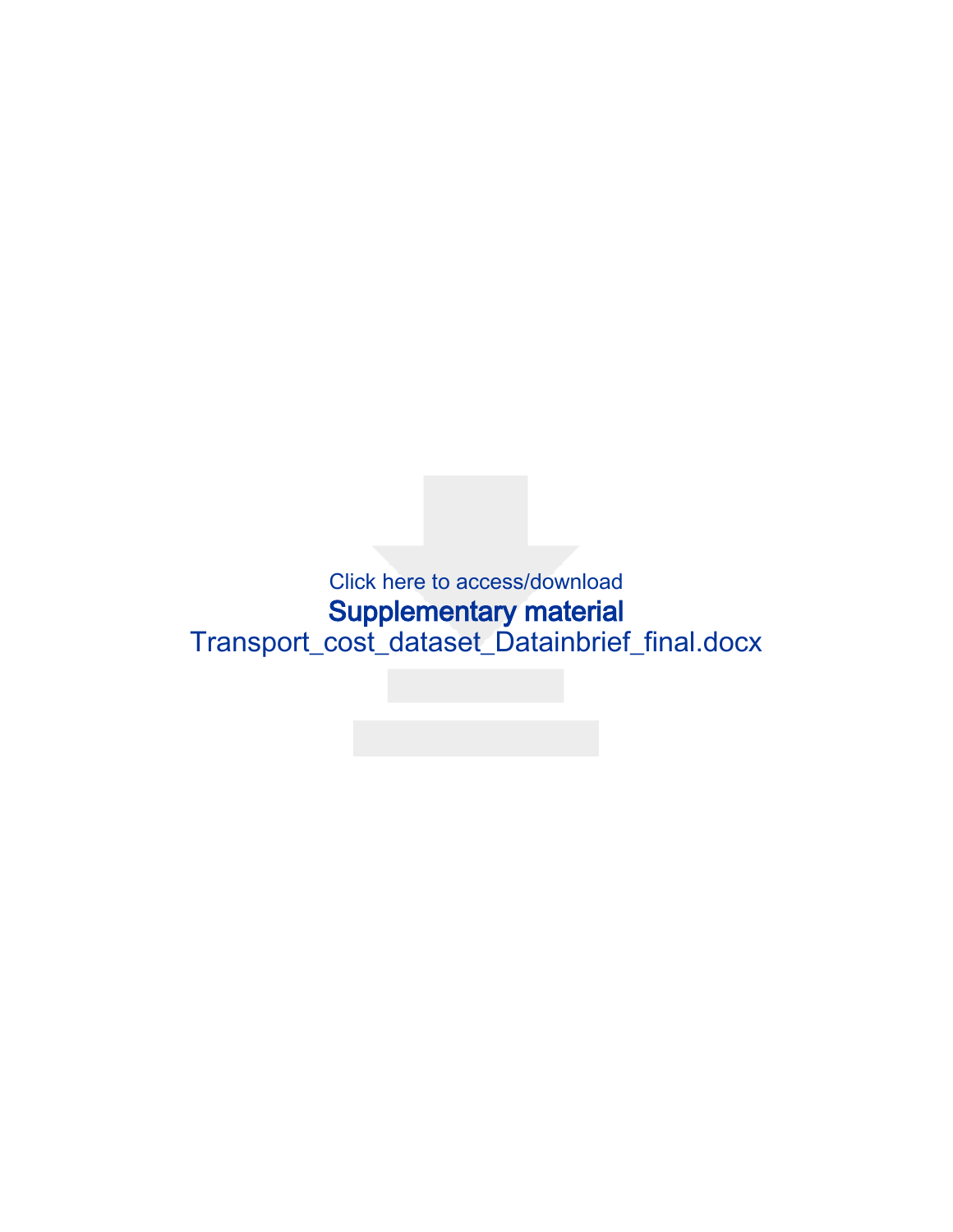Click here to access/download Supplementary material [Transport\\_cost\\_dataset\\_Datainbrief\\_final.docx](https://www.editorialmanager.com/dib/download.aspx?id=371351&guid=b7b86524-ea1a-42c7-92a6-91f157d23d26&scheme=1)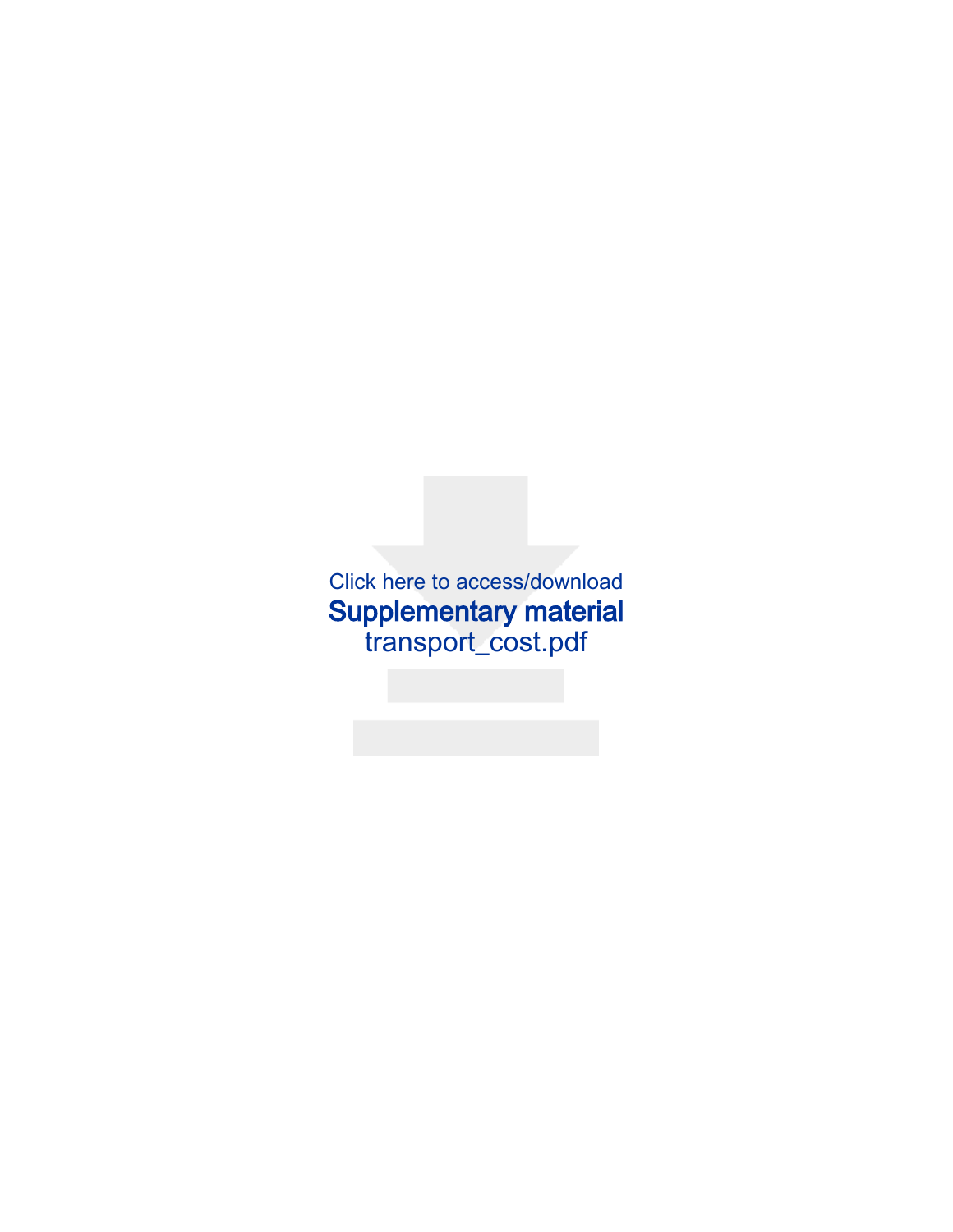Click here to access/download [Supplementary material](https://www.editorialmanager.com/dib/download.aspx?id=371352&guid=bb0a811a-43f0-4d2a-8d25-cf9d197abcc6&scheme=1) transport\_cost.pdf